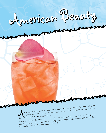

The deep pink color conservant scent of the classic American Beauty rose is the poetic inspiration behind and fragrant scent of the classic American Beauty rose is the poetic inspiration behind and fragrant scent of the cl ose by any other name is still a rose, except when it's a cockland the position behind<br>and fragrant scent of the classic American Beauty rose is the poetic inspiration behind<br>in black velvet gowns. and fragrant scent of the complex cocktail.<br>
the lush rosy pink of this drink think posh ballrooms, black ties, and classic black velvet gowns.<br>
When you think of this drink think posh ballrooms, black ties, and classic bl the lush rosy pink of this complex countail.<br>When you think of this drink think posh ballrooms, black ties, and classic black velvet gowns.<br>Like a vibrant accent of a formal rose corsage, the final splash of port wine adds tasteful finishing touch to this colorful cocktail.